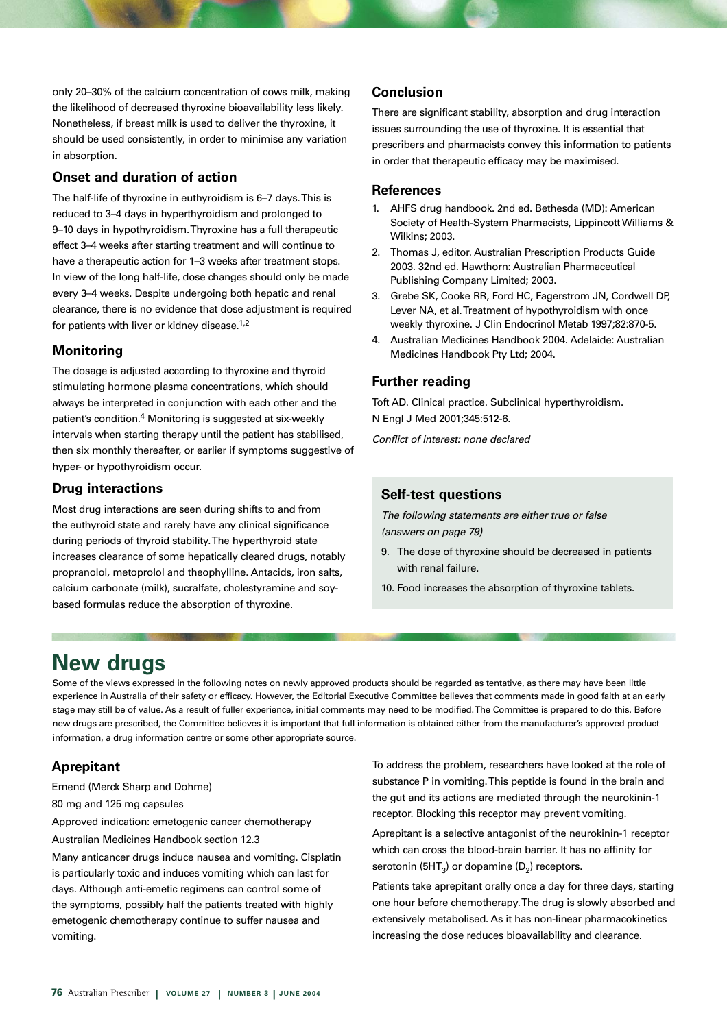only 20–30% of the calcium concentration of cows milk, making the likelihood of decreased thyroxine bioavailability less likely. Nonetheless, if breast milk is used to deliver the thyroxine, it should be used consistently, in order to minimise any variation in absorption.

# **Onset and duration of action**

The half-life of thyroxine in euthyroidism is 6–7 days. This is reduced to 3–4 days in hyperthyroidism and prolonged to 9–10 days in hypothyroidism. Thyroxine has a full therapeutic effect 3–4 weeks after starting treatment and will continue to have a therapeutic action for 1–3 weeks after treatment stops. In view of the long half-life, dose changes should only be made every 3–4 weeks. Despite undergoing both hepatic and renal clearance, there is no evidence that dose adjustment is required for patients with liver or kidney disease.<sup>1,2</sup>

## **Monitoring**

The dosage is adjusted according to thyroxine and thyroid stimulating hormone plasma concentrations, which should always be interpreted in conjunction with each other and the patient's condition.4 Monitoring is suggested at six-weekly intervals when starting therapy until the patient has stabilised, then six monthly thereafter, or earlier if symptoms suggestive of hyper- or hypothyroidism occur.

### **Drug interactions**

Most drug interactions are seen during shifts to and from the euthyroid state and rarely have any clinical significance during periods of thyroid stability. The hyperthyroid state increases clearance of some hepatically cleared drugs, notably propranolol, metoprolol and theophylline. Antacids, iron salts, calcium carbonate (milk), sucralfate, cholestyramine and soybased formulas reduce the absorption of thyroxine.

# **Conclusion**

There are significant stability, absorption and drug interaction issues surrounding the use of thyroxine. It is essential that prescribers and pharmacists convey this information to patients in order that therapeutic efficacy may be maximised.

## **References**

- 1. AHFS drug handbook. 2nd ed. Bethesda (MD): American Society of Health-System Pharmacists, Lippincott Williams & Wilkins; 2003.
- 2. Thomas J, editor. Australian Prescription Products Guide 2003. 32nd ed. Hawthorn: Australian Pharmaceutical Publishing Company Limited; 2003.
- 3. Grebe SK, Cooke RR, Ford HC, Fagerstrom JN, Cordwell DP, Lever NA, et al. Treatment of hypothyroidism with once weekly thyroxine. J Clin Endocrinol Metab 1997;82:870-5.
- 4. Australian Medicines Handbook 2004. Adelaide: Australian Medicines Handbook Pty Ltd; 2004.

## **Further reading**

Toft AD. Clinical practice. Subclinical hyperthyroidism. N Engl J Med 2001;345:512-6.

Conflict of interest: none declared

#### **Self-test questions**

The following statements are either true or false (answers on page 79)

- 9. The dose of thyroxine should be decreased in patients with renal failure.
- 10. Food increases the absorption of thyroxine tablets.

# **New drugs**

Some of the views expressed in the following notes on newly approved products should be regarded as tentative, as there may have been little experience in Australia of their safety or efficacy. However, the Editorial Executive Committee believes that comments made in good faith at an early stage may still be of value. As a result of fuller experience, initial comments may need to be modified. The Committee is prepared to do this. Before new drugs are prescribed, the Committee believes it is important that full information is obtained either from the manufacturer's approved product information, a drug information centre or some other appropriate source.

# **Aprepitant**

Emend (Merck Sharp and Dohme)

80 mg and 125 mg capsules

Approved indication: emetogenic cancer chemotherapy

Australian Medicines Handbook section 12.3

Many anticancer drugs induce nausea and vomiting. Cisplatin is particularly toxic and induces vomiting which can last for days. Although anti-emetic regimens can control some of the symptoms, possibly half the patients treated with highly emetogenic chemotherapy continue to suffer nausea and vomiting.

To address the problem, researchers have looked at the role of substance P in vomiting. This peptide is found in the brain and the gut and its actions are mediated through the neurokinin-1 receptor. Blocking this receptor may prevent vomiting.

Aprepitant is a selective antagonist of the neurokinin-1 receptor which can cross the blood-brain barrier. It has no affinity for serotonin (5HT<sub>3</sub>) or dopamine ( $D_2$ ) receptors.

Patients take aprepitant orally once a day for three days, starting one hour before chemotherapy. The drug is slowly absorbed and extensively metabolised. As it has non-linear pharmacokinetics increasing the dose reduces bioavailability and clearance.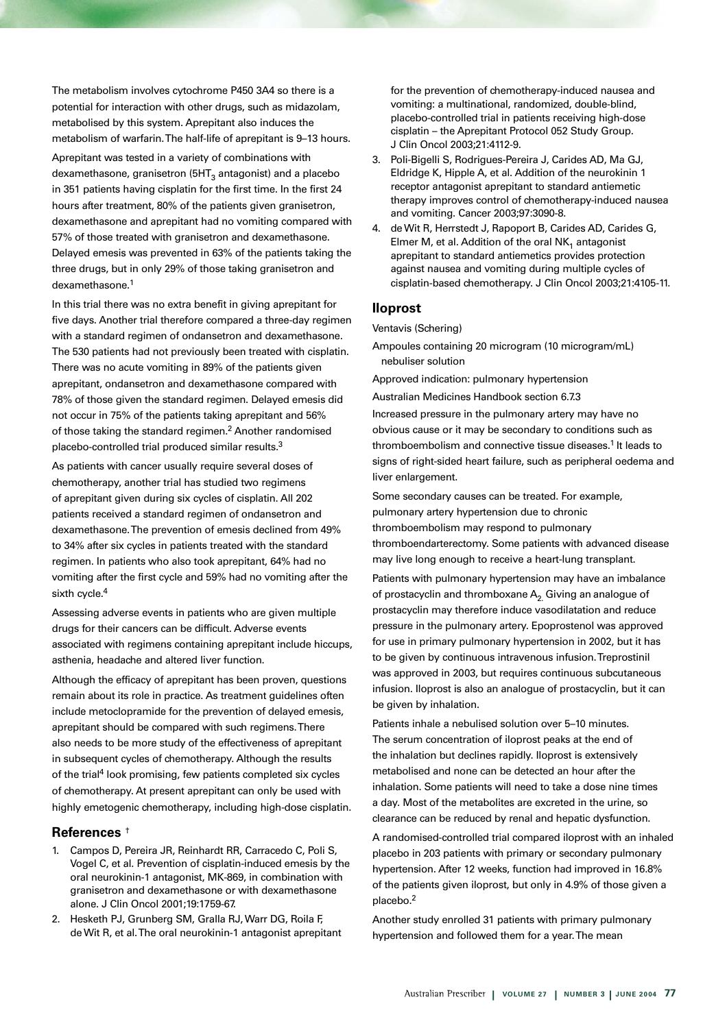The metabolism involves cytochrome P450 3A4 so there is a potential for interaction with other drugs, such as midazolam, metabolised by this system. Aprepitant also induces the metabolism of warfarin. The half-life of aprepitant is 9–13 hours.

Aprepitant was tested in a variety of combinations with dexamethasone, granisetron  $(5HT<sub>3</sub>$  antagonist) and a placebo in 351 patients having cisplatin for the first time. In the first 24 hours after treatment, 80% of the patients given granisetron, dexamethasone and aprepitant had no vomiting compared with 57% of those treated with granisetron and dexamethasone. Delayed emesis was prevented in 63% of the patients taking the three drugs, but in only 29% of those taking granisetron and dexamethasone.<sup>1</sup>

In this trial there was no extra benefit in giving aprepitant for five days. Another trial therefore compared a three-day regimen with a standard regimen of ondansetron and dexamethasone. The 530 patients had not previously been treated with cisplatin. There was no acute vomiting in 89% of the patients given aprepitant, ondansetron and dexamethasone compared with 78% of those given the standard regimen. Delayed emesis did not occur in 75% of the patients taking aprepitant and 56% of those taking the standard regimen.2 Another randomised placebo-controlled trial produced similar results.3

As patients with cancer usually require several doses of chemotherapy, another trial has studied two regimens of aprepitant given during six cycles of cisplatin. All 202 patients received a standard regimen of ondansetron and dexamethasone. The prevention of emesis declined from 49% to 34% after six cycles in patients treated with the standard regimen. In patients who also took aprepitant, 64% had no vomiting after the first cycle and 59% had no vomiting after the sixth cycle.<sup>4</sup>

Assessing adverse events in patients who are given multiple drugs for their cancers can be difficult. Adverse events associated with regimens containing aprepitant include hiccups, asthenia, headache and altered liver function.

Although the efficacy of aprepitant has been proven, questions remain about its role in practice. As treatment guidelines often include metoclopramide for the prevention of delayed emesis, aprepitant should be compared with such regimens. There also needs to be more study of the effectiveness of aprepitant in subsequent cycles of chemotherapy. Although the results of the trial<sup>4</sup> look promising, few patients completed six cycles of chemotherapy. At present aprepitant can only be used with highly emetogenic chemotherapy, including high-dose cisplatin.

#### **References** †

- 1. Campos D, Pereira JR, Reinhardt RR, Carracedo C, Poli S, Vogel C, et al. Prevention of cisplatin-induced emesis by the oral neurokinin-1 antagonist, MK-869, in combination with granisetron and dexamethasone or with dexamethasone alone. J Clin Oncol 2001;19:1759-67.
- 2. Hesketh PJ, Grunberg SM, Gralla RJ, Warr DG, Roila F, de Wit R, et al. The oral neurokinin-1 antagonist aprepitant

for the prevention of chemotherapy-induced nausea and vomiting: a multinational, randomized, double-blind, placebo-controlled trial in patients receiving high-dose cisplatin – the Aprepitant Protocol 052 Study Group. J Clin Oncol 2003;21:4112-9.

- 3. Poli-Bigelli S, Rodrigues-Pereira J, Carides AD, Ma GJ, Eldridge K, Hipple A, et al. Addition of the neurokinin 1 receptor antagonist aprepitant to standard antiemetic therapy improves control of chemotherapy-induced nausea and vomiting. Cancer 2003;97:3090-8.
- 4. de Wit R, Herrstedt J, Rapoport B, Carides AD, Carides G, Elmer M, et al. Addition of the oral  $NK<sub>1</sub>$  antagonist aprepitant to standard antiemetics provides protection against nausea and vomiting during multiple cycles of cisplatin-based chemotherapy. J Clin Oncol 2003;21:4105-11.

#### **Iloprost**

Ventavis (Schering)

Ampoules containing 20 microgram (10 microgram/mL) nebuliser solution

Approved indication: pulmonary hypertension

Australian Medicines Handbook section 6.7.3

Increased pressure in the pulmonary artery may have no obvious cause or it may be secondary to conditions such as thromboembolism and connective tissue diseases.<sup>1</sup> It leads to signs of right-sided heart failure, such as peripheral oedema and liver enlargement.

Some secondary causes can be treated. For example, pulmonary artery hypertension due to chronic thromboembolism may respond to pulmonary thromboendarterectomy. Some patients with advanced disease may live long enough to receive a heart-lung transplant.

Patients with pulmonary hypertension may have an imbalance of prostacyclin and thromboxane  $A_2$ . Giving an analogue of prostacyclin may therefore induce vasodilatation and reduce pressure in the pulmonary artery. Epoprostenol was approved for use in primary pulmonary hypertension in 2002, but it has to be given by continuous intravenous infusion. Treprostinil was approved in 2003, but requires continuous subcutaneous infusion. Iloprost is also an analogue of prostacyclin, but it can be given by inhalation.

Patients inhale a nebulised solution over 5–10 minutes. The serum concentration of iloprost peaks at the end of the inhalation but declines rapidly. Iloprost is extensively metabolised and none can be detected an hour after the inhalation. Some patients will need to take a dose nine times a day. Most of the metabolites are excreted in the urine, so clearance can be reduced by renal and hepatic dysfunction.

A randomised-controlled trial compared iloprost with an inhaled placebo in 203 patients with primary or secondary pulmonary hypertension. After 12 weeks, function had improved in 16.8% of the patients given iloprost, but only in 4.9% of those given a placebo.2

Another study enrolled 31 patients with primary pulmonary hypertension and followed them for a year. The mean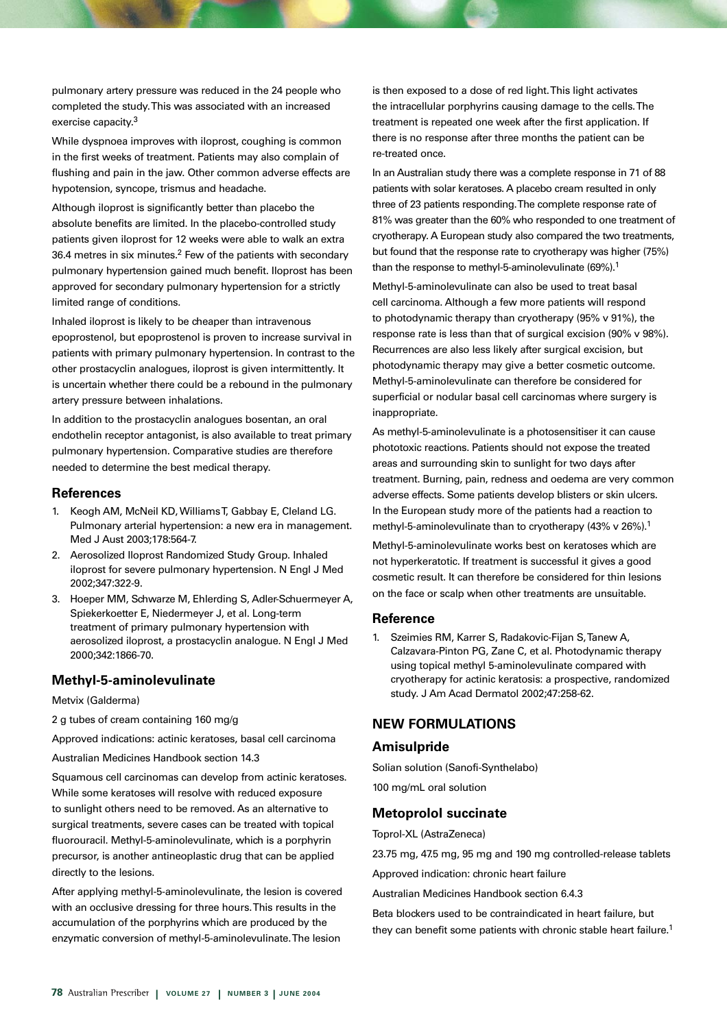pulmonary artery pressure was reduced in the 24 people who completed the study. This was associated with an increased exercise capacity.3

While dyspnoea improves with iloprost, coughing is common in the first weeks of treatment. Patients may also complain of flushing and pain in the jaw. Other common adverse effects are hypotension, syncope, trismus and headache.

Although iloprost is significantly better than placebo the absolute benefits are limited. In the placebo-controlled study patients given iloprost for 12 weeks were able to walk an extra 36.4 metres in six minutes.<sup>2</sup> Few of the patients with secondary pulmonary hypertension gained much benefit. Iloprost has been approved for secondary pulmonary hypertension for a strictly limited range of conditions.

Inhaled iloprost is likely to be cheaper than intravenous epoprostenol, but epoprostenol is proven to increase survival in patients with primary pulmonary hypertension. In contrast to the other prostacyclin analogues, iloprost is given intermittently. It is uncertain whether there could be a rebound in the pulmonary artery pressure between inhalations.

In addition to the prostacyclin analogues bosentan, an oral endothelin receptor antagonist, is also available to treat primary pulmonary hypertension. Comparative studies are therefore needed to determine the best medical therapy.

#### **References**

- 1. Keogh AM, McNeil KD, Williams T, Gabbay E, Cleland LG. Pulmonary arterial hypertension: a new era in management. Med J Aust 2003;178:564-7.
- 2. Aerosolized Iloprost Randomized Study Group. Inhaled iloprost for severe pulmonary hypertension. N Engl J Med 2002;347:322-9.
- 3. Hoeper MM, Schwarze M, Ehlerding S, Adler-Schuermeyer A, Spiekerkoetter E, Niedermeyer J, et al. Long-term treatment of primary pulmonary hypertension with aerosolized iloprost, a prostacyclin analogue. N Engl J Med 2000;342:1866-70.

## **Methyl-5-aminolevulinate**

#### Metvix (Galderma)

2 g tubes of cream containing 160 mg/g

Approved indications: actinic keratoses, basal cell carcinoma

Australian Medicines Handbook section 14.3

Squamous cell carcinomas can develop from actinic keratoses. While some keratoses will resolve with reduced exposure to sunlight others need to be removed. As an alternative to surgical treatments, severe cases can be treated with topical fluorouracil. Methyl-5-aminolevulinate, which is a porphyrin precursor, is another antineoplastic drug that can be applied directly to the lesions.

After applying methyl-5-aminolevulinate, the lesion is covered with an occlusive dressing for three hours. This results in the accumulation of the porphyrins which are produced by the enzymatic conversion of methyl-5-aminolevulinate. The lesion

is then exposed to a dose of red light. This light activates the intracellular porphyrins causing damage to the cells. The treatment is repeated one week after the first application. If there is no response after three months the patient can be re-treated once.

In an Australian study there was a complete response in 71 of 88 patients with solar keratoses. A placebo cream resulted in only three of 23 patients responding. The complete response rate of 81% was greater than the 60% who responded to one treatment of cryotherapy. A European study also compared the two treatments, but found that the response rate to cryotherapy was higher (75%) than the response to methyl-5-aminolevulinate (69%).<sup>1</sup>

Methyl-5-aminolevulinate can also be used to treat basal cell carcinoma. Although a few more patients will respond to photodynamic therapy than cryotherapy (95% v 91%), the response rate is less than that of surgical excision (90% v 98%). Recurrences are also less likely after surgical excision, but photodynamic therapy may give a better cosmetic outcome. Methyl-5-aminolevulinate can therefore be considered for superficial or nodular basal cell carcinomas where surgery is inappropriate.

As methyl-5-aminolevulinate is a photosensitiser it can cause phototoxic reactions. Patients should not expose the treated areas and surrounding skin to sunlight for two days after treatment. Burning, pain, redness and oedema are very common adverse effects. Some patients develop blisters or skin ulcers. In the European study more of the patients had a reaction to methyl-5-aminolevulinate than to cryotherapy (43% v 26%).<sup>1</sup>

Methyl-5-aminolevulinate works best on keratoses which are not hyperkeratotic. If treatment is successful it gives a good cosmetic result. It can therefore be considered for thin lesions on the face or scalp when other treatments are unsuitable.

#### **Reference**

1. Szeimies RM, Karrer S, Radakovic-Fijan S, Tanew A, Calzavara-Pinton PG, Zane C, et al. Photodynamic therapy using topical methyl 5-aminolevulinate compared with cryotherapy for actinic keratosis: a prospective, randomized study. J Am Acad Dermatol 2002;47:258-62.

## **NEW FORMULATIONS**

#### **Amisulpride**

Solian solution (Sanofi-Synthelabo) 100 mg/mL oral solution

#### **Metoprolol succinate**

Toprol-XL (AstraZeneca)

23.75 mg, 47.5 mg, 95 mg and 190 mg controlled-release tablets

Approved indication: chronic heart failure

Australian Medicines Handbook section 6.4.3

Beta blockers used to be contraindicated in heart failure, but they can benefit some patients with chronic stable heart failure.<sup>1</sup>